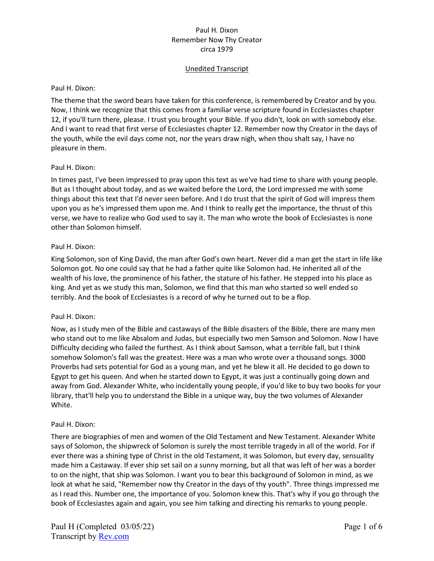## Unedited Transcript

### Paul H. Dixon:

The theme that the sword bears have taken for this conference, is remembered by Creator and by you. Now, I think we recognize that this comes from a familiar verse scripture found in Ecclesiastes chapter 12, if you'll turn there, please. I trust you brought your Bible. If you didn't, look on with somebody else. And I want to read that first verse of Ecclesiastes chapter 12. Remember now thy Creator in the days of the youth, while the evil days come not, nor the years draw nigh, when thou shalt say, I have no pleasure in them.

## Paul H. Dixon:

In times past, I've been impressed to pray upon this text as we've had time to share with young people. But as I thought about today, and as we waited before the Lord, the Lord impressed me with some things about this text that I'd never seen before. And I do trust that the spirit of God will impress them upon you as he's impressed them upon me. And I think to really get the importance, the thrust of this verse, we have to realize who God used to say it. The man who wrote the book of Ecclesiastes is none other than Solomon himself.

## Paul H. Dixon:

King Solomon, son of King David, the man after God's own heart. Never did a man get the start in life like Solomon got. No one could say that he had a father quite like Solomon had. He inherited all of the wealth of his love, the prominence of his father, the stature of his father. He stepped into his place as king. And yet as we study this man, Solomon, we find that this man who started so well ended so terribly. And the book of Ecclesiastes is a record of why he turned out to be a flop.

## Paul H. Dixon:

Now, as I study men of the Bible and castaways of the Bible disasters of the Bible, there are many men who stand out to me like Absalom and Judas, but especially two men Samson and Solomon. Now I have Difficulty deciding who failed the furthest. As I think about Samson, what a terrible fall, but I think somehow Solomon's fall was the greatest. Here was a man who wrote over a thousand songs. 3000 Proverbs had sets potential for God as a young man, and yet he blew it all. He decided to go down to Egypt to get his queen. And when he started down to Egypt, it was just a continually going down and away from God. Alexander White, who incidentally young people, if you'd like to buy two books for your library, that'll help you to understand the Bible in a unique way, buy the two volumes of Alexander White.

#### Paul H. Dixon:

There are biographies of men and women of the Old Testament and New Testament. Alexander White says of Solomon, the shipwreck of Solomon is surely the most terrible tragedy in all of the world. For if ever there was a shining type of Christ in the old Testament, it was Solomon, but every day, sensuality made him a Castaway. If ever ship set sail on a sunny morning, but all that was left of her was a border to on the night, that ship was Solomon. I want you to bear this background of Solomon in mind, as we look at what he said, "Remember now thy Creator in the days of thy youth". Three things impressed me as I read this. Number one, the importance of you. Solomon knew this. That's why if you go through the book of Ecclesiastes again and again, you see him talking and directing his remarks to young people.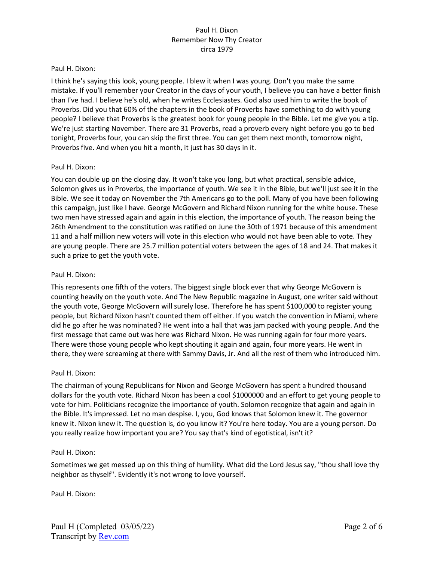#### Paul H. Dixon:

I think he's saying this look, young people. I blew it when I was young. Don't you make the same mistake. If you'll remember your Creator in the days of your youth, I believe you can have a better finish than I've had. I believe he's old, when he writes Ecclesiastes. God also used him to write the book of Proverbs. Did you that 60% of the chapters in the book of Proverbs have something to do with young people? I believe that Proverbs is the greatest book for young people in the Bible. Let me give you a tip. We're just starting November. There are 31 Proverbs, read a proverb every night before you go to bed tonight, Proverbs four, you can skip the first three. You can get them next month, tomorrow night, Proverbs five. And when you hit a month, it just has 30 days in it.

#### Paul H. Dixon:

You can double up on the closing day. It won't take you long, but what practical, sensible advice, Solomon gives us in Proverbs, the importance of youth. We see it in the Bible, but we'll just see it in the Bible. We see it today on November the 7th Americans go to the poll. Many of you have been following this campaign, just like I have. George McGovern and Richard Nixon running for the white house. These two men have stressed again and again in this election, the importance of youth. The reason being the 26th Amendment to the constitution was ratified on June the 30th of 1971 because of this amendment 11 and a half million new voters will vote in this election who would not have been able to vote. They are young people. There are 25.7 million potential voters between the ages of 18 and 24. That makes it such a prize to get the youth vote.

#### Paul H. Dixon:

This represents one fifth of the voters. The biggest single block ever that why George McGovern is counting heavily on the youth vote. And The New Republic magazine in August, one writer said without the youth vote, George McGovern will surely lose. Therefore he has spent \$100,000 to register young people, but Richard Nixon hasn't counted them off either. If you watch the convention in Miami, where did he go after he was nominated? He went into a hall that was jam packed with young people. And the first message that came out was here was Richard Nixon. He was running again for four more years. There were those young people who kept shouting it again and again, four more years. He went in there, they were screaming at there with Sammy Davis, Jr. And all the rest of them who introduced him.

#### Paul H. Dixon:

The chairman of young Republicans for Nixon and George McGovern has spent a hundred thousand dollars for the youth vote. Richard Nixon has been a cool \$1000000 and an effort to get young people to vote for him. Politicians recognize the importance of youth. Solomon recognize that again and again in the Bible. It's impressed. Let no man despise. I, you, God knows that Solomon knew it. The governor knew it. Nixon knew it. The question is, do you know it? You're here today. You are a young person. Do you really realize how important you are? You say that's kind of egotistical, isn't it?

#### Paul H. Dixon:

Sometimes we get messed up on this thing of humility. What did the Lord Jesus say, "thou shall love thy neighbor as thyself". Evidently it's not wrong to love yourself.

Paul H. Dixon: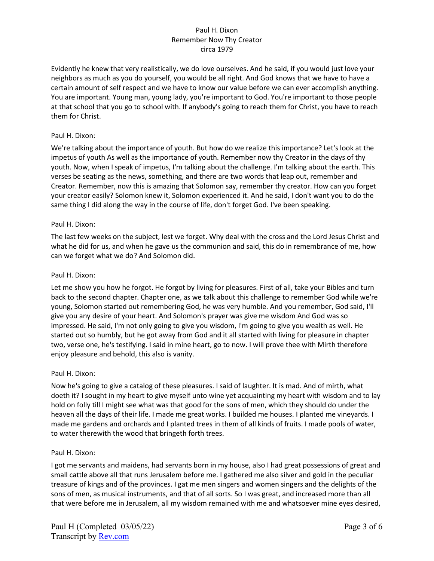Evidently he knew that very realistically, we do love ourselves. And he said, if you would just love your neighbors as much as you do yourself, you would be all right. And God knows that we have to have a certain amount of self respect and we have to know our value before we can ever accomplish anything. You are important. Young man, young lady, you're important to God. You're important to those people at that school that you go to school with. If anybody's going to reach them for Christ, you have to reach them for Christ.

## Paul H. Dixon:

We're talking about the importance of youth. But how do we realize this importance? Let's look at the impetus of youth As well as the importance of youth. Remember now thy Creator in the days of thy youth. Now, when I speak of impetus, I'm talking about the challenge. I'm talking about the earth. This verses be seating as the news, something, and there are two words that leap out, remember and Creator. Remember, now this is amazing that Solomon say, remember thy creator. How can you forget your creator easily? Solomon knew it, Solomon experienced it. And he said, I don't want you to do the same thing I did along the way in the course of life, don't forget God. I've been speaking.

## Paul H. Dixon:

The last few weeks on the subject, lest we forget. Why deal with the cross and the Lord Jesus Christ and what he did for us, and when he gave us the communion and said, this do in remembrance of me, how can we forget what we do? And Solomon did.

## Paul H. Dixon:

Let me show you how he forgot. He forgot by living for pleasures. First of all, take your Bibles and turn back to the second chapter. Chapter one, as we talk about this challenge to remember God while we're young, Solomon started out remembering God, he was very humble. And you remember, God said, I'll give you any desire of your heart. And Solomon's prayer was give me wisdom And God was so impressed. He said, I'm not only going to give you wisdom, I'm going to give you wealth as well. He started out so humbly, but he got away from God and it all started with living for pleasure in chapter two, verse one, he's testifying. I said in mine heart, go to now. I will prove thee with Mirth therefore enjoy pleasure and behold, this also is vanity.

#### Paul H. Dixon:

Now he's going to give a catalog of these pleasures. I said of laughter. It is mad. And of mirth, what doeth it? I sought in my heart to give myself unto wine yet acquainting my heart with wisdom and to lay hold on folly till I might see what was that good for the sons of men, which they should do under the heaven all the days of their life. I made me great works. I builded me houses. I planted me vineyards. I made me gardens and orchards and I planted trees in them of all kinds of fruits. I made pools of water, to water therewith the wood that bringeth forth trees.

#### Paul H. Dixon:

I got me servants and maidens, had servants born in my house, also I had great possessions of great and small cattle above all that runs Jerusalem before me. I gathered me also silver and gold in the peculiar treasure of kings and of the provinces. I gat me men singers and women singers and the delights of the sons of men, as musical instruments, and that of all sorts. So I was great, and increased more than all that were before me in Jerusalem, all my wisdom remained with me and whatsoever mine eyes desired,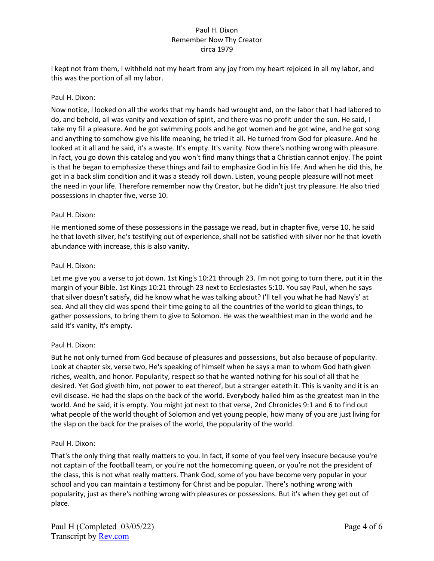I kept not from them, I withheld not my heart from any joy from my heart rejoiced in all my labor, and this was the portion of all my labor.

## Paul H. Dixon:

Now notice, I looked on all the works that my hands had wrought and, on the labor that I had labored to do, and behold, all was vanity and vexation of spirit, and there was no profit under the sun. He said, I take my fill a pleasure. And he got swimming pools and he got women and he got wine, and he got song and anything to somehow give his life meaning, he tried it all. He turned from God for pleasure. And he looked at it all and he said, it's a waste. It's empty. It's vanity. Now there's nothing wrong with pleasure. In fact, you go down this catalog and you won't find many things that a Christian cannot enjoy. The point is that he began to emphasize these things and fail to emphasize God in his life. And when he did this, he got in a back slim condition and it was a steady roll down. Listen, young people pleasure will not meet the need in your life. Therefore remember now thy Creator, but he didn't just try pleasure. He also tried possessions in chapter five, verse 10.

## Paul H. Dixon:

He mentioned some of these possessions in the passage we read, but in chapter five, verse 10, he said he that loveth silver, he's testifying out of experience, shall not be satisfied with silver nor he that loveth abundance with increase, this is also vanity.

## Paul H. Dixon:

Let me give you a verse to jot down. 1st King's 10:21 through 23. I'm not going to turn there, put it in the margin of your Bible. 1st Kings 10:21 through 23 next to Ecclesiastes 5:10. You say Paul, when he says that silver doesn't satisfy, did he know what he was talking about? I'll tell you what he had Navy's' at sea. And all they did was spend their time going to all the countries of the world to glean things, to gather possessions, to bring them to give to Solomon. He was the wealthiest man in the world and he said it's vanity, it's empty.

## Paul H. Dixon:

But he not only turned from God because of pleasures and possessions, but also because of popularity. Look at chapter six, verse two, He's speaking of himself when he says a man to whom God hath given riches, wealth, and honor. Popularity, respect so that he wanted nothing for his soul of all that he desired. Yet God giveth him, not power to eat thereof, but a stranger eateth it. This is vanity and it is an evil disease. He had the slaps on the back of the world. Everybody hailed him as the greatest man in the world. And he said, it is empty. You might jot next to that verse, 2nd Chronicles 9:1 and 6 to find out what people of the world thought of Solomon and yet young people, how many of you are just living for the slap on the back for the praises of the world, the popularity of the world.

#### Paul H. Dixon:

That's the only thing that really matters to you. In fact, if some of you feel very insecure because you're not captain of the football team, or you're not the homecoming queen, or you're not the president of the class, this is not what really matters. Thank God, some of you have become very popular in your school and you can maintain a testimony for Christ and be popular. There's nothing wrong with popularity, just as there's nothing wrong with pleasures or possessions. But it's when they get out of place.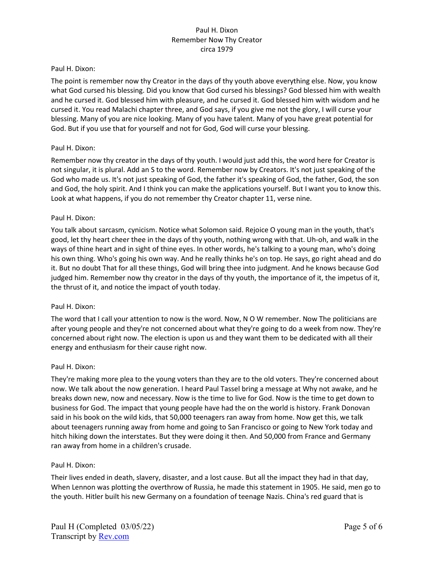### Paul H. Dixon:

The point is remember now thy Creator in the days of thy youth above everything else. Now, you know what God cursed his blessing. Did you know that God cursed his blessings? God blessed him with wealth and he cursed it. God blessed him with pleasure, and he cursed it. God blessed him with wisdom and he cursed it. You read Malachi chapter three, and God says, if you give me not the glory, I will curse your blessing. Many of you are nice looking. Many of you have talent. Many of you have great potential for God. But if you use that for yourself and not for God, God will curse your blessing.

## Paul H. Dixon:

Remember now thy creator in the days of thy youth. I would just add this, the word here for Creator is not singular, it is plural. Add an S to the word. Remember now by Creators. It's not just speaking of the God who made us. It's not just speaking of God, the father it's speaking of God, the father, God, the son and God, the holy spirit. And I think you can make the applications yourself. But I want you to know this. Look at what happens, if you do not remember thy Creator chapter 11, verse nine.

## Paul H. Dixon:

You talk about sarcasm, cynicism. Notice what Solomon said. Rejoice O young man in the youth, that's good, let thy heart cheer thee in the days of thy youth, nothing wrong with that. Uh-oh, and walk in the ways of thine heart and in sight of thine eyes. In other words, he's talking to a young man, who's doing his own thing. Who's going his own way. And he really thinks he's on top. He says, go right ahead and do it. But no doubt That for all these things, God will bring thee into judgment. And he knows because God judged him. Remember now thy creator in the days of thy youth, the importance of it, the impetus of it, the thrust of it, and notice the impact of youth today.

#### Paul H. Dixon:

The word that I call your attention to now is the word. Now, N O W remember. Now The politicians are after young people and they're not concerned about what they're going to do a week from now. They're concerned about right now. The election is upon us and they want them to be dedicated with all their energy and enthusiasm for their cause right now.

#### Paul H. Dixon:

They're making more plea to the young voters than they are to the old voters. They're concerned about now. We talk about the now generation. I heard Paul Tassel bring a message at Why not awake, and he breaks down new, now and necessary. Now is the time to live for God. Now is the time to get down to business for God. The impact that young people have had the on the world is history. Frank Donovan said in his book on the wild kids, that 50,000 teenagers ran away from home. Now get this, we talk about teenagers running away from home and going to San Francisco or going to New York today and hitch hiking down the interstates. But they were doing it then. And 50,000 from France and Germany ran away from home in a children's crusade.

#### Paul H. Dixon:

Their lives ended in death, slavery, disaster, and a lost cause. But all the impact they had in that day, When Lennon was plotting the overthrow of Russia, he made this statement in 1905. He said, men go to the youth. Hitler built his new Germany on a foundation of teenage Nazis. China's red guard that is